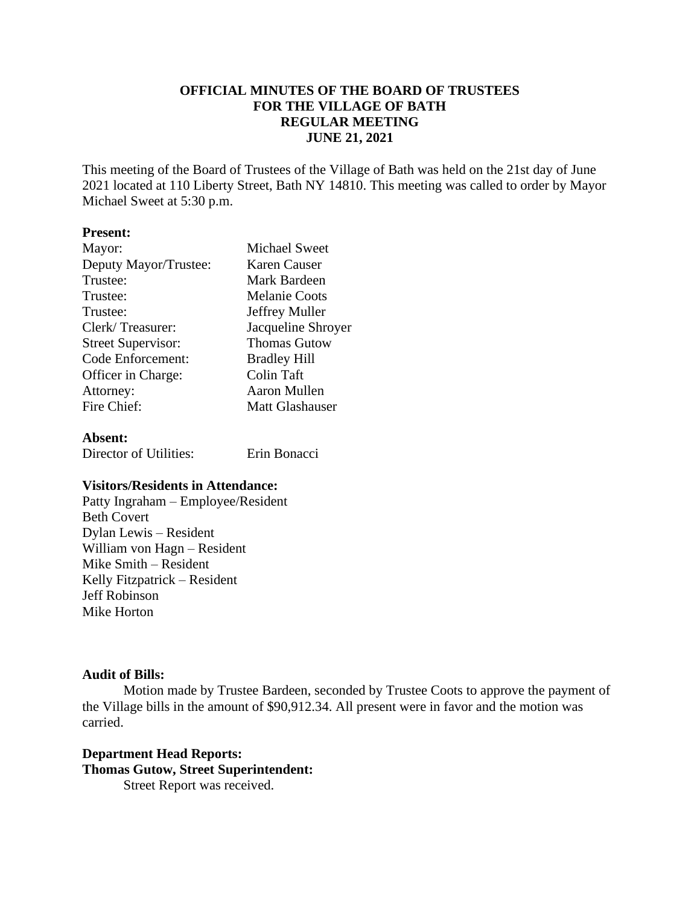# **OFFICIAL MINUTES OF THE BOARD OF TRUSTEES FOR THE VILLAGE OF BATH REGULAR MEETING JUNE 21, 2021**

This meeting of the Board of Trustees of the Village of Bath was held on the 21st day of June 2021 located at 110 Liberty Street, Bath NY 14810. This meeting was called to order by Mayor Michael Sweet at 5:30 p.m.

### **Present:**

| Mayor:                    | <b>Michael Sweet</b>   |
|---------------------------|------------------------|
| Deputy Mayor/Trustee:     | Karen Causer           |
| Trustee:                  | Mark Bardeen           |
| Trustee:                  | <b>Melanie Coots</b>   |
| Trustee:                  | Jeffrey Muller         |
| Clerk/Treasurer:          | Jacqueline Shroyer     |
| <b>Street Supervisor:</b> | <b>Thomas Gutow</b>    |
| Code Enforcement:         | <b>Bradley Hill</b>    |
| Officer in Charge:        | Colin Taft             |
| Attorney:                 | Aaron Mullen           |
| Fire Chief:               | <b>Matt Glashauser</b> |
|                           |                        |

#### **Absent:**

Director of Utilities: Erin Bonacci

# **Visitors/Residents in Attendance:**

Patty Ingraham – Employee/Resident Beth Covert Dylan Lewis – Resident William von Hagn – Resident Mike Smith – Resident Kelly Fitzpatrick – Resident Jeff Robinson Mike Horton

## **Audit of Bills:**

Motion made by Trustee Bardeen, seconded by Trustee Coots to approve the payment of the Village bills in the amount of \$90,912.34. All present were in favor and the motion was carried.

## **Department Head Reports: Thomas Gutow, Street Superintendent:** Street Report was received.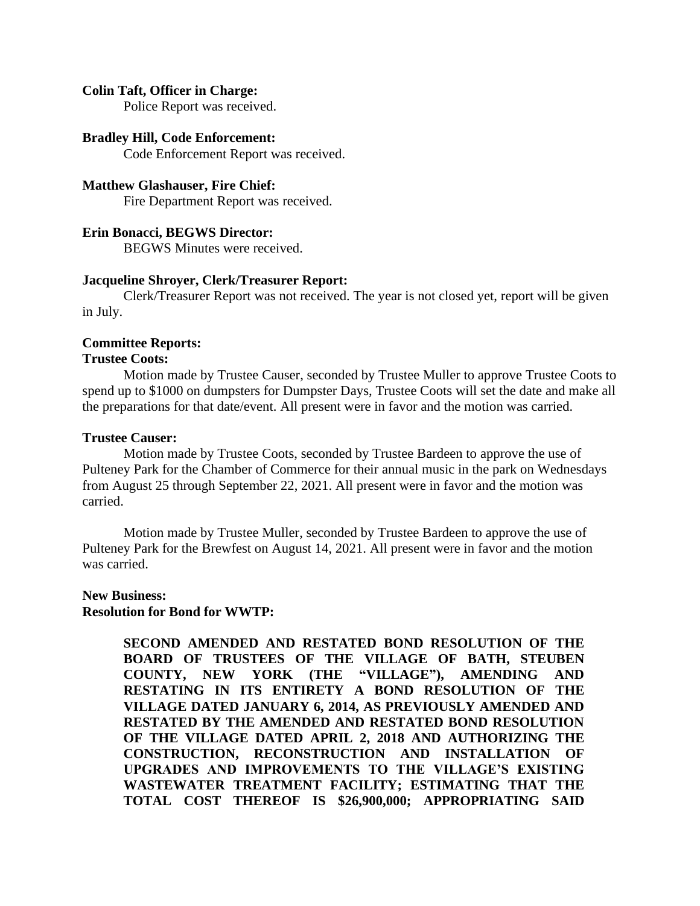#### **Colin Taft, Officer in Charge:**

Police Report was received.

#### **Bradley Hill, Code Enforcement:**

Code Enforcement Report was received.

#### **Matthew Glashauser, Fire Chief:**

Fire Department Report was received.

### **Erin Bonacci, BEGWS Director:**

BEGWS Minutes were received.

#### **Jacqueline Shroyer, Clerk/Treasurer Report:**

Clerk/Treasurer Report was not received. The year is not closed yet, report will be given in July.

#### **Committee Reports:**

#### **Trustee Coots:**

Motion made by Trustee Causer, seconded by Trustee Muller to approve Trustee Coots to spend up to \$1000 on dumpsters for Dumpster Days, Trustee Coots will set the date and make all the preparations for that date/event. All present were in favor and the motion was carried.

#### **Trustee Causer:**

Motion made by Trustee Coots, seconded by Trustee Bardeen to approve the use of Pulteney Park for the Chamber of Commerce for their annual music in the park on Wednesdays from August 25 through September 22, 2021. All present were in favor and the motion was carried.

Motion made by Trustee Muller, seconded by Trustee Bardeen to approve the use of Pulteney Park for the Brewfest on August 14, 2021. All present were in favor and the motion was carried.

#### **New Business:**

#### **Resolution for Bond for WWTP:**

**SECOND AMENDED AND RESTATED BOND RESOLUTION OF THE BOARD OF TRUSTEES OF THE VILLAGE OF BATH, STEUBEN COUNTY, NEW YORK (THE "VILLAGE"), AMENDING AND RESTATING IN ITS ENTIRETY A BOND RESOLUTION OF THE VILLAGE DATED JANUARY 6, 2014, AS PREVIOUSLY AMENDED AND RESTATED BY THE AMENDED AND RESTATED BOND RESOLUTION OF THE VILLAGE DATED APRIL 2, 2018 AND AUTHORIZING THE CONSTRUCTION, RECONSTRUCTION AND INSTALLATION OF UPGRADES AND IMPROVEMENTS TO THE VILLAGE'S EXISTING WASTEWATER TREATMENT FACILITY; ESTIMATING THAT THE TOTAL COST THEREOF IS \$26,900,000; APPROPRIATING SAID**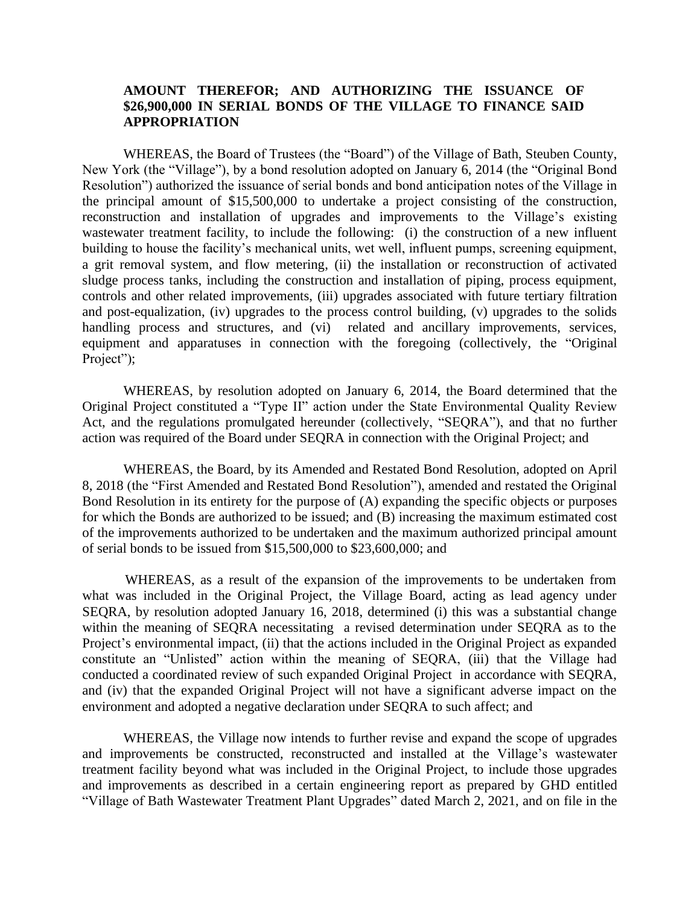## **AMOUNT THEREFOR; AND AUTHORIZING THE ISSUANCE OF \$26,900,000 IN SERIAL BONDS OF THE VILLAGE TO FINANCE SAID APPROPRIATION**

WHEREAS, the Board of Trustees (the "Board") of the Village of Bath, Steuben County, New York (the "Village"), by a bond resolution adopted on January 6, 2014 (the "Original Bond Resolution") authorized the issuance of serial bonds and bond anticipation notes of the Village in the principal amount of \$15,500,000 to undertake a project consisting of the construction, reconstruction and installation of upgrades and improvements to the Village's existing wastewater treatment facility, to include the following: (i) the construction of a new influent building to house the facility's mechanical units, wet well, influent pumps, screening equipment, a grit removal system, and flow metering, (ii) the installation or reconstruction of activated sludge process tanks, including the construction and installation of piping, process equipment, controls and other related improvements, (iii) upgrades associated with future tertiary filtration and post-equalization, (iv) upgrades to the process control building, (v) upgrades to the solids handling process and structures, and (vi) related and ancillary improvements, services, equipment and apparatuses in connection with the foregoing (collectively, the "Original Project");

WHEREAS, by resolution adopted on January 6, 2014, the Board determined that the Original Project constituted a "Type II" action under the State Environmental Quality Review Act, and the regulations promulgated hereunder (collectively, "SEQRA"), and that no further action was required of the Board under SEQRA in connection with the Original Project; and

WHEREAS, the Board, by its Amended and Restated Bond Resolution, adopted on April 8, 2018 (the "First Amended and Restated Bond Resolution"), amended and restated the Original Bond Resolution in its entirety for the purpose of (A) expanding the specific objects or purposes for which the Bonds are authorized to be issued; and (B) increasing the maximum estimated cost of the improvements authorized to be undertaken and the maximum authorized principal amount of serial bonds to be issued from \$15,500,000 to \$23,600,000; and

WHEREAS, as a result of the expansion of the improvements to be undertaken from what was included in the Original Project, the Village Board, acting as lead agency under SEQRA, by resolution adopted January 16, 2018, determined (i) this was a substantial change within the meaning of SEQRA necessitating a revised determination under SEQRA as to the Project's environmental impact, (ii) that the actions included in the Original Project as expanded constitute an "Unlisted" action within the meaning of SEQRA, (iii) that the Village had conducted a coordinated review of such expanded Original Project in accordance with SEQRA, and (iv) that the expanded Original Project will not have a significant adverse impact on the environment and adopted a negative declaration under SEQRA to such affect; and

WHEREAS, the Village now intends to further revise and expand the scope of upgrades and improvements be constructed, reconstructed and installed at the Village's wastewater treatment facility beyond what was included in the Original Project, to include those upgrades and improvements as described in a certain engineering report as prepared by GHD entitled "Village of Bath Wastewater Treatment Plant Upgrades" dated March 2, 2021, and on file in the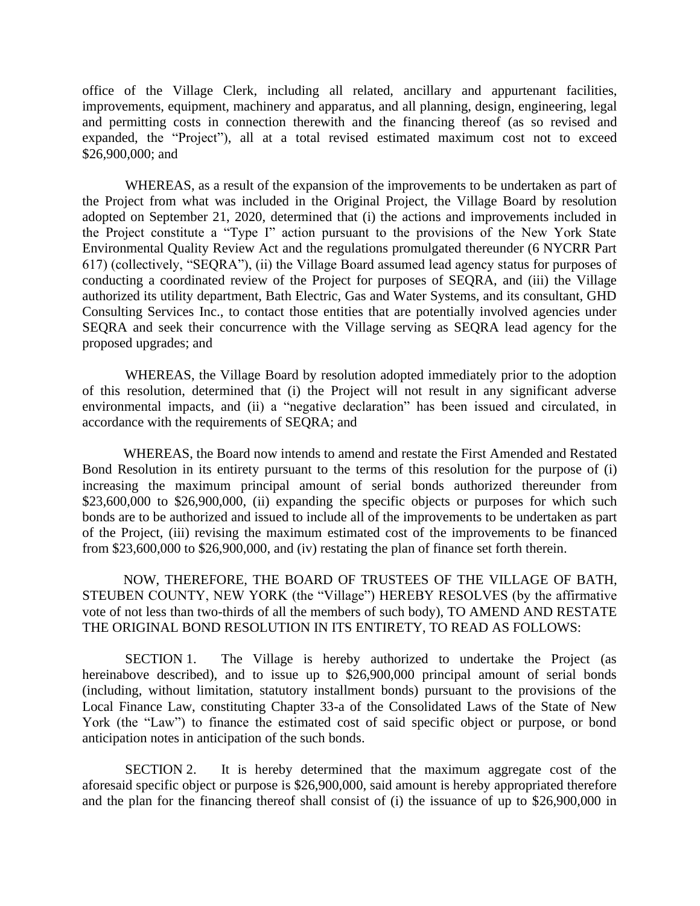office of the Village Clerk, including all related, ancillary and appurtenant facilities, improvements, equipment, machinery and apparatus, and all planning, design, engineering, legal and permitting costs in connection therewith and the financing thereof (as so revised and expanded, the "Project"), all at a total revised estimated maximum cost not to exceed \$26,900,000; and

WHEREAS, as a result of the expansion of the improvements to be undertaken as part of the Project from what was included in the Original Project, the Village Board by resolution adopted on September 21, 2020, determined that (i) the actions and improvements included in the Project constitute a "Type I" action pursuant to the provisions of the New York State Environmental Quality Review Act and the regulations promulgated thereunder (6 NYCRR Part 617) (collectively, "SEQRA"), (ii) the Village Board assumed lead agency status for purposes of conducting a coordinated review of the Project for purposes of SEQRA, and (iii) the Village authorized its utility department, Bath Electric, Gas and Water Systems, and its consultant, GHD Consulting Services Inc., to contact those entities that are potentially involved agencies under SEQRA and seek their concurrence with the Village serving as SEQRA lead agency for the proposed upgrades; and

WHEREAS, the Village Board by resolution adopted immediately prior to the adoption of this resolution, determined that (i) the Project will not result in any significant adverse environmental impacts, and (ii) a "negative declaration" has been issued and circulated, in accordance with the requirements of SEQRA; and

WHEREAS, the Board now intends to amend and restate the First Amended and Restated Bond Resolution in its entirety pursuant to the terms of this resolution for the purpose of (i) increasing the maximum principal amount of serial bonds authorized thereunder from \$23,600,000 to \$26,900,000, (ii) expanding the specific objects or purposes for which such bonds are to be authorized and issued to include all of the improvements to be undertaken as part of the Project, (iii) revising the maximum estimated cost of the improvements to be financed from \$23,600,000 to \$26,900,000, and (iv) restating the plan of finance set forth therein.

NOW, THEREFORE, THE BOARD OF TRUSTEES OF THE VILLAGE OF BATH, STEUBEN COUNTY, NEW YORK (the "Village") HEREBY RESOLVES (by the affirmative vote of not less than two-thirds of all the members of such body), TO AMEND AND RESTATE THE ORIGINAL BOND RESOLUTION IN ITS ENTIRETY, TO READ AS FOLLOWS:

SECTION 1. The Village is hereby authorized to undertake the Project (as hereinabove described), and to issue up to \$26,900,000 principal amount of serial bonds (including, without limitation, statutory installment bonds) pursuant to the provisions of the Local Finance Law, constituting Chapter 33-a of the Consolidated Laws of the State of New York (the "Law") to finance the estimated cost of said specific object or purpose, or bond anticipation notes in anticipation of the such bonds.

SECTION 2. It is hereby determined that the maximum aggregate cost of the aforesaid specific object or purpose is \$26,900,000, said amount is hereby appropriated therefore and the plan for the financing thereof shall consist of (i) the issuance of up to \$26,900,000 in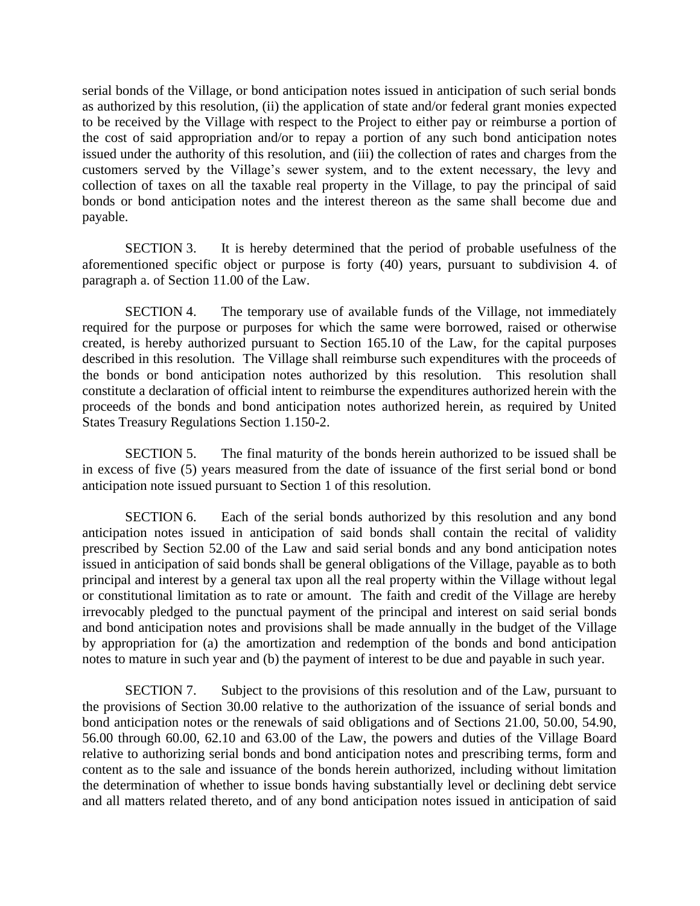serial bonds of the Village, or bond anticipation notes issued in anticipation of such serial bonds as authorized by this resolution, (ii) the application of state and/or federal grant monies expected to be received by the Village with respect to the Project to either pay or reimburse a portion of the cost of said appropriation and/or to repay a portion of any such bond anticipation notes issued under the authority of this resolution, and (iii) the collection of rates and charges from the customers served by the Village's sewer system, and to the extent necessary, the levy and collection of taxes on all the taxable real property in the Village, to pay the principal of said bonds or bond anticipation notes and the interest thereon as the same shall become due and payable.

SECTION 3. It is hereby determined that the period of probable usefulness of the aforementioned specific object or purpose is forty (40) years, pursuant to subdivision 4. of paragraph a. of Section 11.00 of the Law.

SECTION 4. The temporary use of available funds of the Village, not immediately required for the purpose or purposes for which the same were borrowed, raised or otherwise created, is hereby authorized pursuant to Section 165.10 of the Law, for the capital purposes described in this resolution. The Village shall reimburse such expenditures with the proceeds of the bonds or bond anticipation notes authorized by this resolution. This resolution shall constitute a declaration of official intent to reimburse the expenditures authorized herein with the proceeds of the bonds and bond anticipation notes authorized herein, as required by United States Treasury Regulations Section 1.150-2.

SECTION 5. The final maturity of the bonds herein authorized to be issued shall be in excess of five (5) years measured from the date of issuance of the first serial bond or bond anticipation note issued pursuant to Section 1 of this resolution.

SECTION 6. Each of the serial bonds authorized by this resolution and any bond anticipation notes issued in anticipation of said bonds shall contain the recital of validity prescribed by Section 52.00 of the Law and said serial bonds and any bond anticipation notes issued in anticipation of said bonds shall be general obligations of the Village, payable as to both principal and interest by a general tax upon all the real property within the Village without legal or constitutional limitation as to rate or amount. The faith and credit of the Village are hereby irrevocably pledged to the punctual payment of the principal and interest on said serial bonds and bond anticipation notes and provisions shall be made annually in the budget of the Village by appropriation for (a) the amortization and redemption of the bonds and bond anticipation notes to mature in such year and (b) the payment of interest to be due and payable in such year.

SECTION 7. Subject to the provisions of this resolution and of the Law, pursuant to the provisions of Section 30.00 relative to the authorization of the issuance of serial bonds and bond anticipation notes or the renewals of said obligations and of Sections 21.00, 50.00, 54.90, 56.00 through 60.00, 62.10 and 63.00 of the Law, the powers and duties of the Village Board relative to authorizing serial bonds and bond anticipation notes and prescribing terms, form and content as to the sale and issuance of the bonds herein authorized, including without limitation the determination of whether to issue bonds having substantially level or declining debt service and all matters related thereto, and of any bond anticipation notes issued in anticipation of said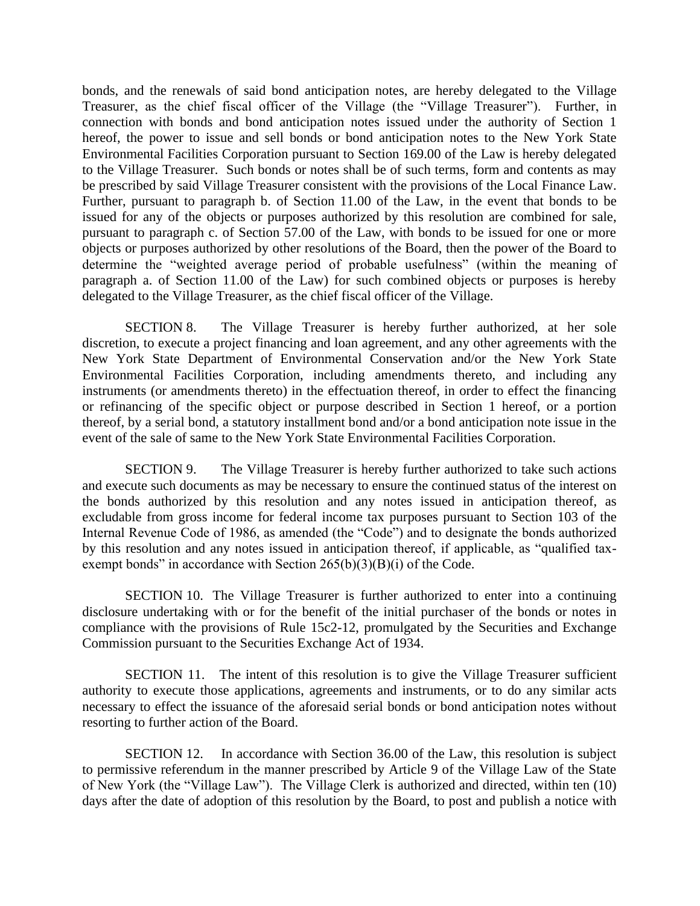bonds, and the renewals of said bond anticipation notes, are hereby delegated to the Village Treasurer, as the chief fiscal officer of the Village (the "Village Treasurer"). Further, in connection with bonds and bond anticipation notes issued under the authority of Section 1 hereof, the power to issue and sell bonds or bond anticipation notes to the New York State Environmental Facilities Corporation pursuant to Section 169.00 of the Law is hereby delegated to the Village Treasurer. Such bonds or notes shall be of such terms, form and contents as may be prescribed by said Village Treasurer consistent with the provisions of the Local Finance Law. Further, pursuant to paragraph b. of Section 11.00 of the Law, in the event that bonds to be issued for any of the objects or purposes authorized by this resolution are combined for sale, pursuant to paragraph c. of Section 57.00 of the Law, with bonds to be issued for one or more objects or purposes authorized by other resolutions of the Board, then the power of the Board to determine the "weighted average period of probable usefulness" (within the meaning of paragraph a. of Section 11.00 of the Law) for such combined objects or purposes is hereby delegated to the Village Treasurer, as the chief fiscal officer of the Village.

SECTION 8. The Village Treasurer is hereby further authorized, at her sole discretion, to execute a project financing and loan agreement, and any other agreements with the New York State Department of Environmental Conservation and/or the New York State Environmental Facilities Corporation, including amendments thereto, and including any instruments (or amendments thereto) in the effectuation thereof, in order to effect the financing or refinancing of the specific object or purpose described in Section 1 hereof, or a portion thereof, by a serial bond, a statutory installment bond and/or a bond anticipation note issue in the event of the sale of same to the New York State Environmental Facilities Corporation.

SECTION 9. The Village Treasurer is hereby further authorized to take such actions and execute such documents as may be necessary to ensure the continued status of the interest on the bonds authorized by this resolution and any notes issued in anticipation thereof, as excludable from gross income for federal income tax purposes pursuant to Section 103 of the Internal Revenue Code of 1986, as amended (the "Code") and to designate the bonds authorized by this resolution and any notes issued in anticipation thereof, if applicable, as "qualified taxexempt bonds" in accordance with Section  $265(b)(3)(B)(i)$  of the Code.

SECTION 10. The Village Treasurer is further authorized to enter into a continuing disclosure undertaking with or for the benefit of the initial purchaser of the bonds or notes in compliance with the provisions of Rule 15c2-12, promulgated by the Securities and Exchange Commission pursuant to the Securities Exchange Act of 1934.

SECTION 11. The intent of this resolution is to give the Village Treasurer sufficient authority to execute those applications, agreements and instruments, or to do any similar acts necessary to effect the issuance of the aforesaid serial bonds or bond anticipation notes without resorting to further action of the Board.

SECTION 12. In accordance with Section 36.00 of the Law, this resolution is subject to permissive referendum in the manner prescribed by Article 9 of the Village Law of the State of New York (the "Village Law"). The Village Clerk is authorized and directed, within ten (10) days after the date of adoption of this resolution by the Board, to post and publish a notice with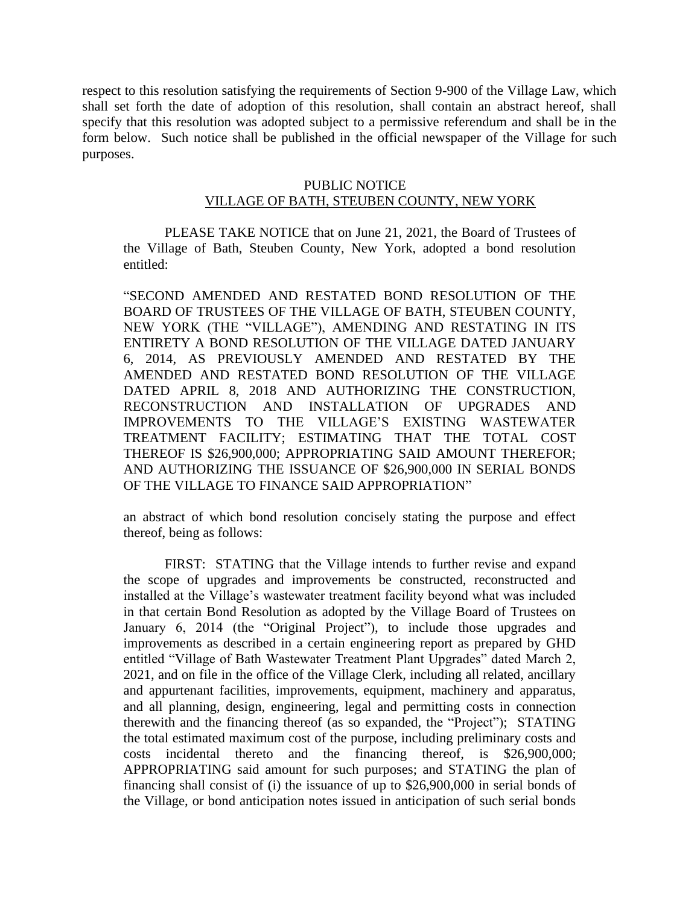respect to this resolution satisfying the requirements of Section 9-900 of the Village Law, which shall set forth the date of adoption of this resolution, shall contain an abstract hereof, shall specify that this resolution was adopted subject to a permissive referendum and shall be in the form below. Such notice shall be published in the official newspaper of the Village for such purposes.

## PUBLIC NOTICE

#### VILLAGE OF BATH, STEUBEN COUNTY, NEW YORK

PLEASE TAKE NOTICE that on June 21, 2021, the Board of Trustees of the Village of Bath, Steuben County, New York, adopted a bond resolution entitled:

"SECOND AMENDED AND RESTATED BOND RESOLUTION OF THE BOARD OF TRUSTEES OF THE VILLAGE OF BATH, STEUBEN COUNTY, NEW YORK (THE "VILLAGE"), AMENDING AND RESTATING IN ITS ENTIRETY A BOND RESOLUTION OF THE VILLAGE DATED JANUARY 6, 2014, AS PREVIOUSLY AMENDED AND RESTATED BY THE AMENDED AND RESTATED BOND RESOLUTION OF THE VILLAGE DATED APRIL 8, 2018 AND AUTHORIZING THE CONSTRUCTION, RECONSTRUCTION AND INSTALLATION OF UPGRADES AND IMPROVEMENTS TO THE VILLAGE'S EXISTING WASTEWATER TREATMENT FACILITY; ESTIMATING THAT THE TOTAL COST THEREOF IS \$26,900,000; APPROPRIATING SAID AMOUNT THEREFOR; AND AUTHORIZING THE ISSUANCE OF \$26,900,000 IN SERIAL BONDS OF THE VILLAGE TO FINANCE SAID APPROPRIATION"

an abstract of which bond resolution concisely stating the purpose and effect thereof, being as follows:

FIRST: STATING that the Village intends to further revise and expand the scope of upgrades and improvements be constructed, reconstructed and installed at the Village's wastewater treatment facility beyond what was included in that certain Bond Resolution as adopted by the Village Board of Trustees on January 6, 2014 (the "Original Project"), to include those upgrades and improvements as described in a certain engineering report as prepared by GHD entitled "Village of Bath Wastewater Treatment Plant Upgrades" dated March 2, 2021, and on file in the office of the Village Clerk, including all related, ancillary and appurtenant facilities, improvements, equipment, machinery and apparatus, and all planning, design, engineering, legal and permitting costs in connection therewith and the financing thereof (as so expanded, the "Project"); STATING the total estimated maximum cost of the purpose, including preliminary costs and costs incidental thereto and the financing thereof, is \$26,900,000; APPROPRIATING said amount for such purposes; and STATING the plan of financing shall consist of (i) the issuance of up to \$26,900,000 in serial bonds of the Village, or bond anticipation notes issued in anticipation of such serial bonds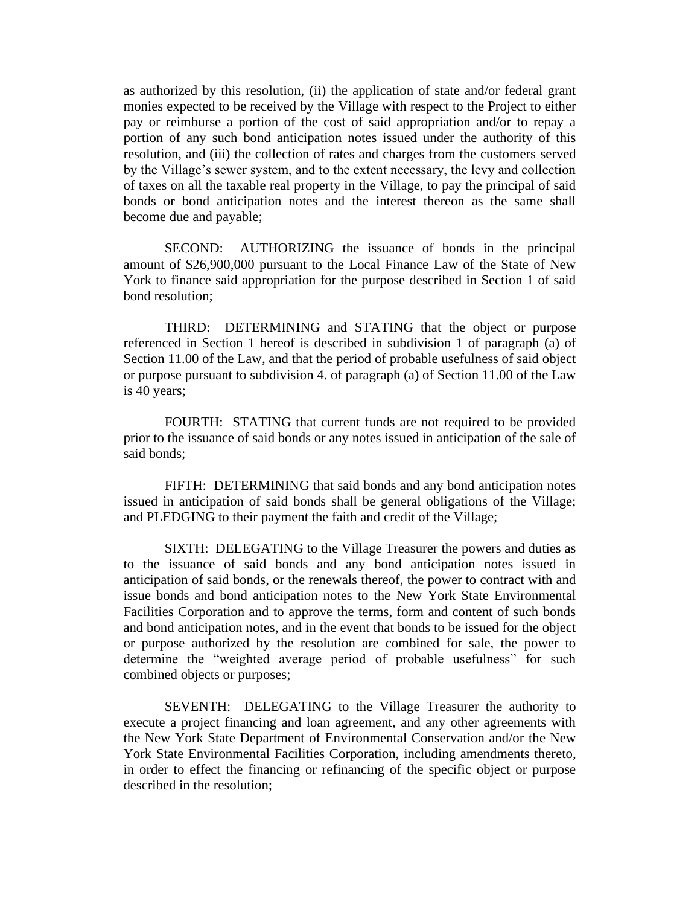as authorized by this resolution, (ii) the application of state and/or federal grant monies expected to be received by the Village with respect to the Project to either pay or reimburse a portion of the cost of said appropriation and/or to repay a portion of any such bond anticipation notes issued under the authority of this resolution, and (iii) the collection of rates and charges from the customers served by the Village's sewer system, and to the extent necessary, the levy and collection of taxes on all the taxable real property in the Village, to pay the principal of said bonds or bond anticipation notes and the interest thereon as the same shall become due and payable;

SECOND: AUTHORIZING the issuance of bonds in the principal amount of \$26,900,000 pursuant to the Local Finance Law of the State of New York to finance said appropriation for the purpose described in Section 1 of said bond resolution;

THIRD: DETERMINING and STATING that the object or purpose referenced in Section 1 hereof is described in subdivision 1 of paragraph (a) of Section 11.00 of the Law, and that the period of probable usefulness of said object or purpose pursuant to subdivision 4. of paragraph (a) of Section 11.00 of the Law is 40 years;

FOURTH: STATING that current funds are not required to be provided prior to the issuance of said bonds or any notes issued in anticipation of the sale of said bonds;

FIFTH: DETERMINING that said bonds and any bond anticipation notes issued in anticipation of said bonds shall be general obligations of the Village; and PLEDGING to their payment the faith and credit of the Village;

SIXTH: DELEGATING to the Village Treasurer the powers and duties as to the issuance of said bonds and any bond anticipation notes issued in anticipation of said bonds, or the renewals thereof, the power to contract with and issue bonds and bond anticipation notes to the New York State Environmental Facilities Corporation and to approve the terms, form and content of such bonds and bond anticipation notes, and in the event that bonds to be issued for the object or purpose authorized by the resolution are combined for sale, the power to determine the "weighted average period of probable usefulness" for such combined objects or purposes;

SEVENTH: DELEGATING to the Village Treasurer the authority to execute a project financing and loan agreement, and any other agreements with the New York State Department of Environmental Conservation and/or the New York State Environmental Facilities Corporation, including amendments thereto, in order to effect the financing or refinancing of the specific object or purpose described in the resolution;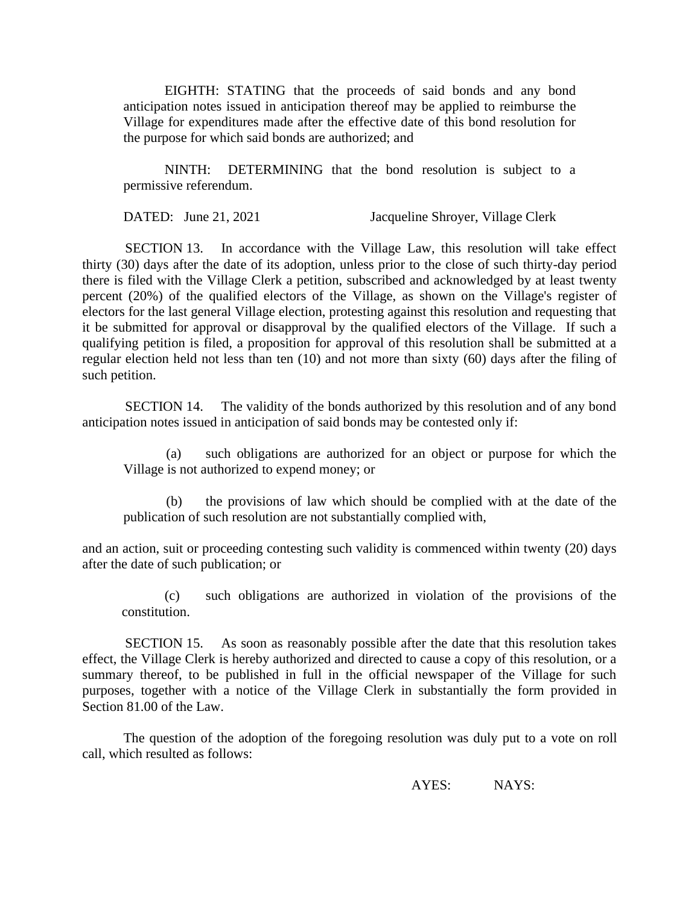EIGHTH: STATING that the proceeds of said bonds and any bond anticipation notes issued in anticipation thereof may be applied to reimburse the Village for expenditures made after the effective date of this bond resolution for the purpose for which said bonds are authorized; and

NINTH: DETERMINING that the bond resolution is subject to a permissive referendum.

DATED: June 21, 2021 Jacqueline Shroyer, Village Clerk

SECTION 13. In accordance with the Village Law, this resolution will take effect thirty (30) days after the date of its adoption, unless prior to the close of such thirty-day period there is filed with the Village Clerk a petition, subscribed and acknowledged by at least twenty percent (20%) of the qualified electors of the Village, as shown on the Village's register of electors for the last general Village election, protesting against this resolution and requesting that it be submitted for approval or disapproval by the qualified electors of the Village. If such a qualifying petition is filed, a proposition for approval of this resolution shall be submitted at a regular election held not less than ten (10) and not more than sixty (60) days after the filing of such petition.

SECTION 14. The validity of the bonds authorized by this resolution and of any bond anticipation notes issued in anticipation of said bonds may be contested only if:

(a) such obligations are authorized for an object or purpose for which the Village is not authorized to expend money; or

(b) the provisions of law which should be complied with at the date of the publication of such resolution are not substantially complied with,

and an action, suit or proceeding contesting such validity is commenced within twenty (20) days after the date of such publication; or

(c) such obligations are authorized in violation of the provisions of the constitution.

SECTION 15. As soon as reasonably possible after the date that this resolution takes effect, the Village Clerk is hereby authorized and directed to cause a copy of this resolution, or a summary thereof, to be published in full in the official newspaper of the Village for such purposes, together with a notice of the Village Clerk in substantially the form provided in Section 81.00 of the Law.

The question of the adoption of the foregoing resolution was duly put to a vote on roll call, which resulted as follows:

AYES: NAYS: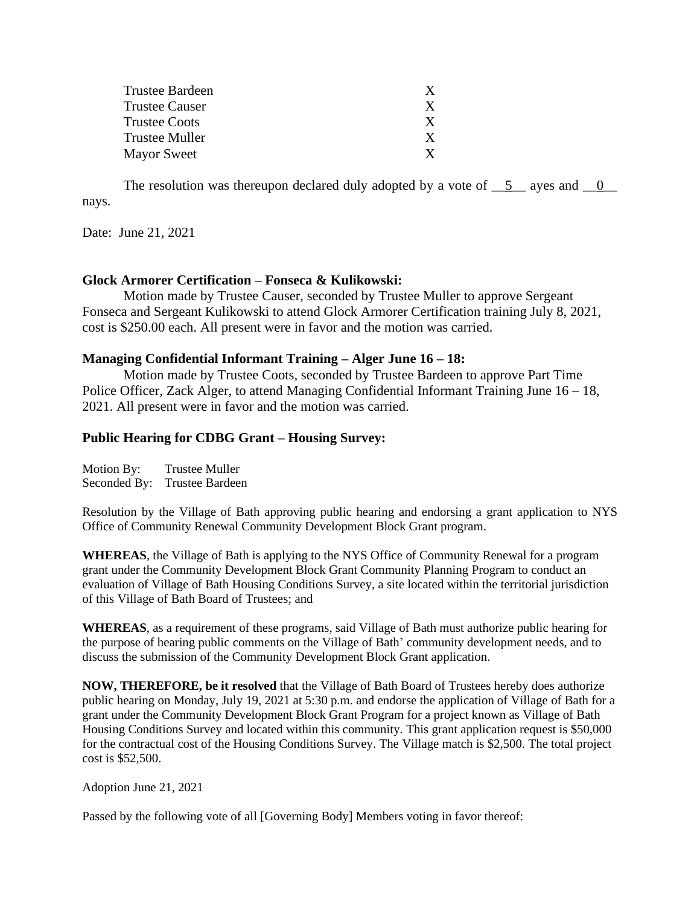| Trustee Bardeen |              |
|-----------------|--------------|
| Trustee Causer  | X            |
| Trustee Coots   | $\mathbf{x}$ |
| Trustee Muller  | X            |
| Mayor Sweet     |              |

The resolution was thereupon declared duly adopted by a vote of  $\_\_5\_\_$  ayes and  $\_\_0\_\_$ nays.

Date: June 21, 2021

## **Glock Armorer Certification – Fonseca & Kulikowski:**

Motion made by Trustee Causer, seconded by Trustee Muller to approve Sergeant Fonseca and Sergeant Kulikowski to attend Glock Armorer Certification training July 8, 2021, cost is \$250.00 each. All present were in favor and the motion was carried.

## **Managing Confidential Informant Training – Alger June 16 – 18:**

Motion made by Trustee Coots, seconded by Trustee Bardeen to approve Part Time Police Officer, Zack Alger, to attend Managing Confidential Informant Training June 16 – 18, 2021. All present were in favor and the motion was carried.

## **Public Hearing for CDBG Grant – Housing Survey:**

Motion By: Trustee Muller Seconded By: Trustee Bardeen

Resolution by the Village of Bath approving public hearing and endorsing a grant application to NYS Office of Community Renewal Community Development Block Grant program.

**WHEREAS**, the Village of Bath is applying to the NYS Office of Community Renewal for a program grant under the Community Development Block Grant Community Planning Program to conduct an evaluation of Village of Bath Housing Conditions Survey, a site located within the territorial jurisdiction of this Village of Bath Board of Trustees; and

**WHEREAS**, as a requirement of these programs, said Village of Bath must authorize public hearing for the purpose of hearing public comments on the Village of Bath' community development needs, and to discuss the submission of the Community Development Block Grant application.

**NOW, THEREFORE, be it resolved** that the Village of Bath Board of Trustees hereby does authorize public hearing on Monday, July 19, 2021 at 5:30 p.m. and endorse the application of Village of Bath for a grant under the Community Development Block Grant Program for a project known as Village of Bath Housing Conditions Survey and located within this community. This grant application request is \$50,000 for the contractual cost of the Housing Conditions Survey. The Village match is \$2,500. The total project cost is \$52,500.

Adoption June 21, 2021

Passed by the following vote of all [Governing Body] Members voting in favor thereof: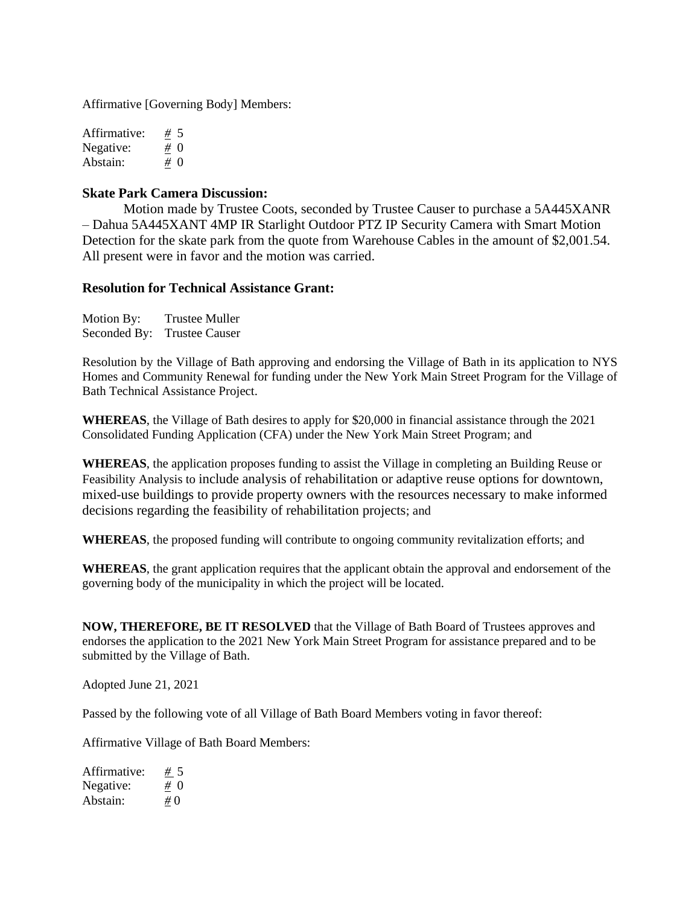Affirmative [Governing Body] Members:

Affirmative: <u>#</u> 5<br>Negative: <u>#</u> 0 Negative:  $\frac{\#}{4}$  0<br>Abstain:  $\frac{\#}{4}$  0 Abstain:

#### **Skate Park Camera Discussion:**

Motion made by Trustee Coots, seconded by Trustee Causer to purchase a 5A445XANR – Dahua 5A445XANT 4MP IR Starlight Outdoor PTZ IP Security Camera with Smart Motion Detection for the skate park from the quote from Warehouse Cables in the amount of \$2,001.54. All present were in favor and the motion was carried.

#### **Resolution for Technical Assistance Grant:**

| Motion By:   | <b>Trustee Muller</b> |
|--------------|-----------------------|
| Seconded By: | <b>Trustee Causer</b> |

Resolution by the Village of Bath approving and endorsing the Village of Bath in its application to NYS Homes and Community Renewal for funding under the New York Main Street Program for the Village of Bath Technical Assistance Project.

**WHEREAS**, the Village of Bath desires to apply for \$20,000 in financial assistance through the 2021 Consolidated Funding Application (CFA) under the New York Main Street Program; and

**WHEREAS**, the application proposes funding to assist the Village in completing an Building Reuse or Feasibility Analysis to include analysis of rehabilitation or adaptive reuse options for downtown, mixed-use buildings to provide property owners with the resources necessary to make informed decisions regarding the feasibility of rehabilitation projects; and

**WHEREAS**, the proposed funding will contribute to ongoing community revitalization efforts; and

**WHEREAS**, the grant application requires that the applicant obtain the approval and endorsement of the governing body of the municipality in which the project will be located.

**NOW, THEREFORE, BE IT RESOLVED** that the Village of Bath Board of Trustees approves and endorses the application to the 2021 New York Main Street Program for assistance prepared and to be submitted by the Village of Bath.

Adopted June 21, 2021

Passed by the following vote of all Village of Bath Board Members voting in favor thereof:

Affirmative Village of Bath Board Members:

| Affirmative: | # 5    |
|--------------|--------|
| Negative:    | $\# 0$ |
| Abstain:     | $\#0$  |